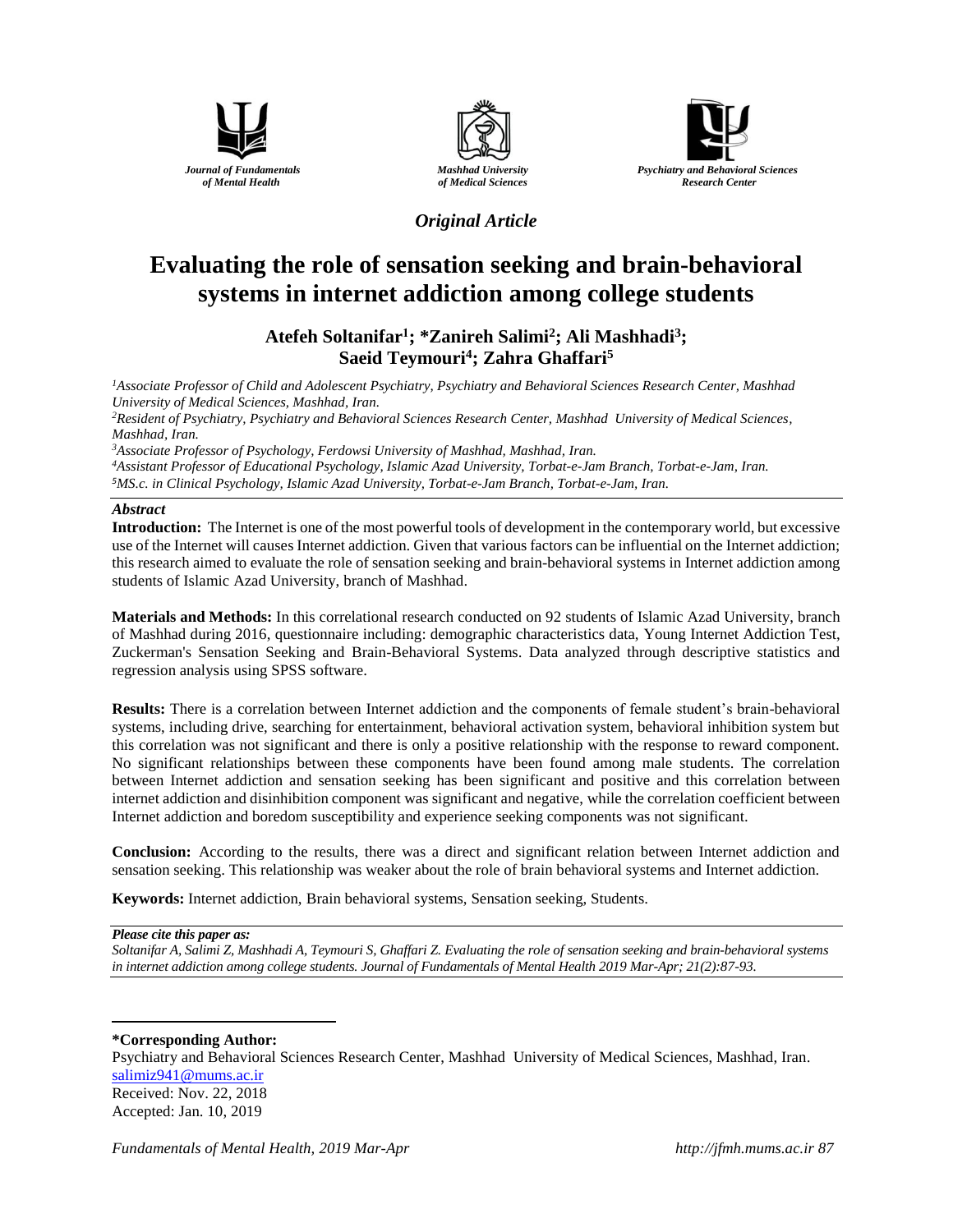





# *Original Article*

# **Evaluating the role of [sensation seeking](https://www.noormags.ir/view/fa/keyword/Sensation_seeking) and brain-behavioral systems in internet addiction among college students**

# **Atefeh Soltanifar<sup>1</sup> ; \*Zanireh Salimi<sup>2</sup> ; Ali Mashhadi<sup>3</sup> ; Saeid Teymouri<sup>4</sup> ; Zahra Ghaffari<sup>5</sup>**

*<sup>1</sup>Associate Professor of Child and Adolescent Psychiatry, Psychiatry and Behavioral Sciences Research Center, Mashhad University of Medical Sciences, Mashhad, Iran.*

*<sup>2</sup>Resident of Psychiatry, Psychiatry and Behavioral Sciences Research Center, Mashhad University of Medical Sciences, Mashhad, Iran.*

*<sup>3</sup>Associate Professor of Psychology, Ferdowsi University of Mashhad, Mashhad, Iran.*

*<sup>4</sup>Assistant Professor of Educational Psychology, Islamic Azad University, Torbat-e-Jam Branch, Torbat-e-Jam, Iran. <sup>5</sup>MS.c. in Clinical Psychology, Islamic Azad University, Torbat-e-Jam Branch, Torbat-e-Jam, Iran.*

### *Abstract*

**Introduction:** The Internet is one of the most powerful tools of development in the contemporary world, but excessive use of the Internet will causes Internet addiction. Given that various factors can be influential on the Internet addiction; this research aimed to evaluate the role of sensation seeking and brain-behavioral systems in Internet addiction among students of Islamic Azad University, branch of Mashhad.

**Materials and Methods:** In this correlational research conducted on 92 students of Islamic Azad University, branch of Mashhad during 2016, questionnaire including: demographic characteristics data, Young Internet Addiction Test, Zuckerman's Sensation Seeking and Brain-Behavioral Systems. Data analyzed through descriptive statistics and regression analysis using SPSS software.

**Results:** There is a correlation between Internet addiction and the components of female student's brain-behavioral systems, including drive, searching for entertainment, behavioral activation system, behavioral inhibition system but this correlation was not significant and there is only a positive relationship with the response to reward component. No significant relationships between these components have been found among male students. The correlation between Internet addiction and sensation seeking has been significant and positive and this correlation between internet addiction and disinhibition component was significant and negative, while the correlation coefficient between Internet addiction and boredom susceptibility and experience seeking components was not significant.

**Conclusion:** According to the results, there was a direct and significant relation between Internet addiction and sensation seeking. This relationship was weaker about the role of brain behavioral systems and Internet addiction.

**Keywords:** Internet addiction, Brain behavioral systems, Sensation seeking, Students.

#### *Please cite this paper as:*

 $\overline{a}$ 

*Soltanifar A, Salimi Z, Mashhadi A, Teymouri S, Ghaffari Z. Evaluating the role o[f sensation seeking](https://www.noormags.ir/view/fa/keyword/Sensation_seeking) and brain-behavioral systems in internet addiction among college students. Journal of Fundamentals of Mental Health 2019 Mar-Apr; 21(2):87-93.*

### **\*Corresponding Author:**

Psychiatry and Behavioral Sciences Research Center, Mashhad University of Medical Sciences, Mashhad, Iran*.* [salimiz941@mums.ac.ir](mailto:salimiz941@mums.ac.ir) Received: Nov. 22, 2018 Accepted: Jan. 10, 2019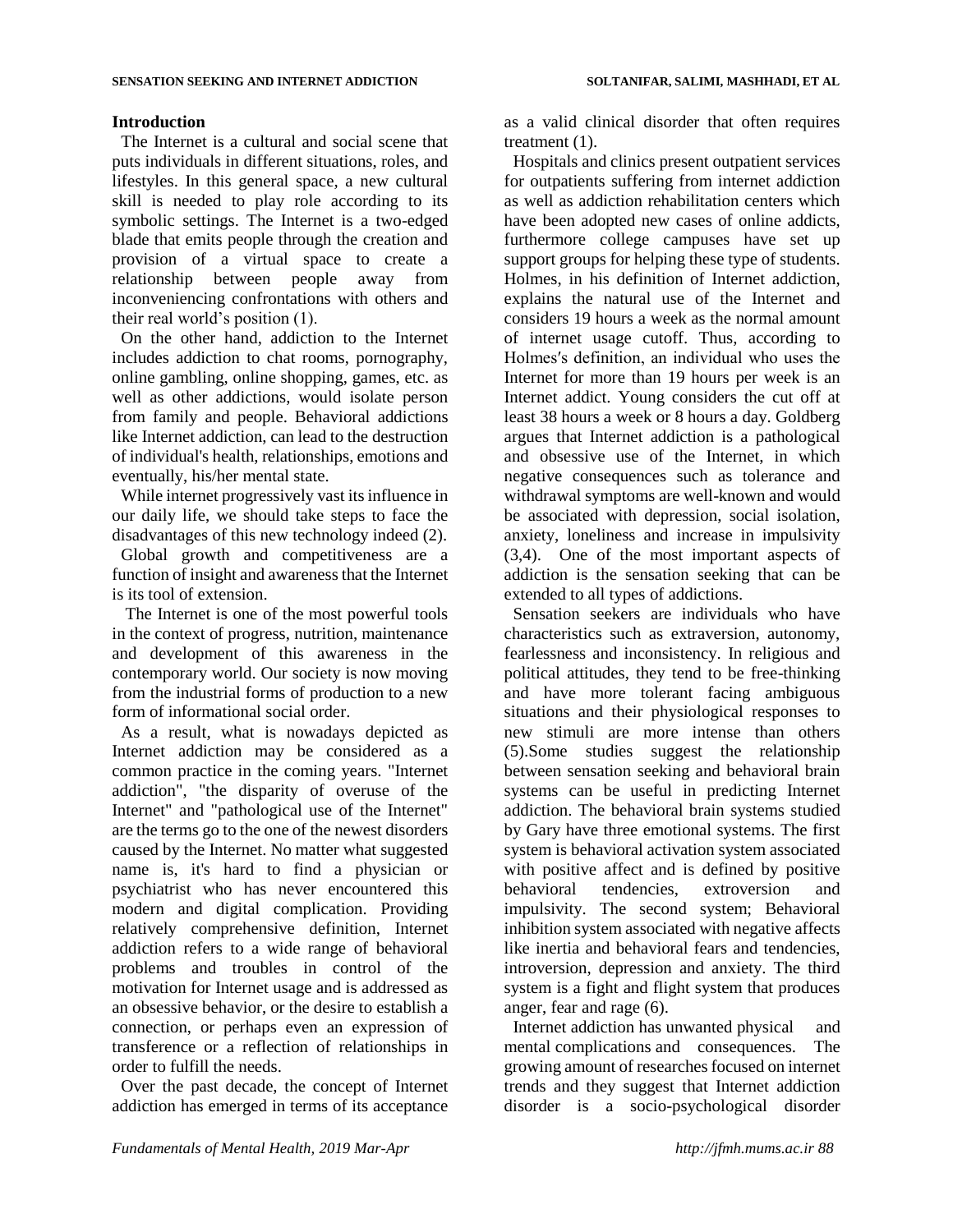## **Introduction**

The Internet is a cultural and social scene that puts individuals in different situations, roles, and lifestyles. In this general space, a new cultural skill is needed to play role according to its symbolic settings. The Internet is a two-edged blade that emits people through the creation and provision of a virtual space to create a relationship between people away from inconveniencing confrontations with others and their real world's position (1).

On the other hand, addiction to the Internet includes addiction to chat rooms, pornography, online gambling, online shopping, games, etc. as well as other addictions, would isolate person from family and people. Behavioral addictions like Internet addiction, can lead to the destruction of individual's health, relationships, emotions and eventually, his/her mental state.

While internet progressively vast its influence in our daily life, we should take steps to face the disadvantages of this new technology indeed (2).

Global growth and competitiveness are a function of insight and awareness that the Internet is its tool of extension.

The Internet is one of the most powerful tools in the context of progress, nutrition, maintenance and development of this awareness in the contemporary world. Our society is now moving from the industrial forms of production to a new form of informational social order.

As a result, what is nowadays depicted as Internet addiction may be considered as a common practice in the coming years. "Internet addiction", "the disparity of overuse of the Internet" and "pathological use of the Internet" are the terms go to the one of the newest disorders caused by the Internet. No matter what suggested name is, it's hard to find a physician or psychiatrist who has never encountered this modern and digital complication. Providing relatively comprehensive definition, Internet addiction refers to a wide range of behavioral problems and troubles in control of the motivation for Internet usage and is addressed as an obsessive behavior, or the desire to establish a connection, or perhaps even an expression of transference or a reflection of relationships in order to fulfill the needs.

Over the past decade, the concept of Internet addiction has emerged in terms of its acceptance

as a valid clinical disorder that often requires treatment (1).

Hospitals and clinics present outpatient services for outpatients suffering from internet addiction as well as addiction rehabilitation centers which have been adopted new cases of online addicts, furthermore college campuses have set up support groups for helping these type of students. Holmes, in his definition of Internet addiction, explains the natural use of the Internet and considers 19 hours a week as the normal amount of internet usage cutoff. Thus, according to Holmes′s definition, an individual who uses the Internet for more than 19 hours per week is an Internet addict. Young considers the cut off at least 38 hours a week or 8 hours a day. Goldberg argues that Internet addiction is a pathological and obsessive use of the Internet, in which negative consequences such as tolerance and withdrawal symptoms are well-known and would be associated with depression, social isolation, anxiety, loneliness and increase in impulsivity (3,4). One of the most important aspects of addiction is the sensation seeking that can be extended to all types of addictions.

Sensation seekers are individuals who have characteristics such as extraversion, autonomy, fearlessness and inconsistency. In religious and political attitudes, they tend to be free-thinking and have more tolerant facing ambiguous situations and their physiological responses to new stimuli are more intense than others (5).Some studies suggest the relationship between sensation seeking and behavioral brain systems can be useful in predicting Internet addiction. The behavioral brain systems studied by Gary have three emotional systems. The first system is behavioral activation system associated with positive affect and is defined by positive behavioral tendencies, extroversion and impulsivity. The second system; Behavioral inhibition system associated with negative affects like inertia and behavioral fears and tendencies, introversion, depression and anxiety. The third system is a fight and flight system that produces anger, fear and rage (6).

Internet addiction has unwanted physical and mental complications and consequences. The growing amount of researches focused on internet trends and they suggest that Internet addiction disorder is a socio-psychological disorder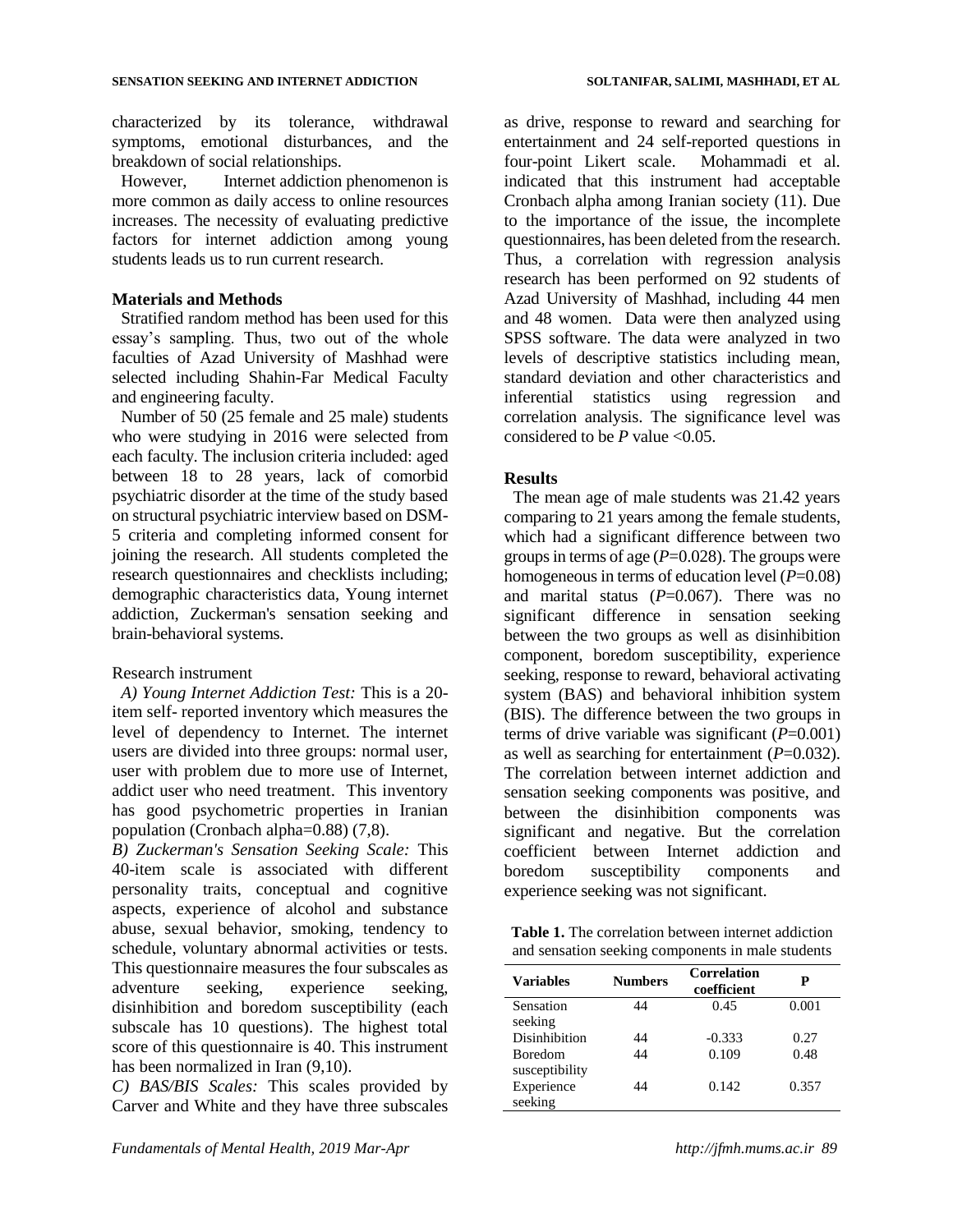characterized by its tolerance, withdrawal symptoms, emotional disturbances, and the breakdown of social relationships.

However, Internet addiction phenomenon is more common as daily access to online resources increases. The necessity of evaluating predictive factors for internet addiction among young students leads us to run current research.

## **Materials and Methods**

Stratified random method has been used for this essay's sampling. Thus, two out of the whole faculties of Azad University of Mashhad were selected including Shahin-Far Medical Faculty and engineering faculty.

Number of 50 (25 female and 25 male) students who were studying in 2016 were selected from each faculty. The inclusion criteria included: aged between 18 to 28 years, lack of comorbid psychiatric disorder at the time of the study based on structural psychiatric interview based on DSM-5 criteria and completing informed consent for joining the research. All students completed the research questionnaires and checklists including; demographic characteristics data, Young internet addiction, Zuckerman's sensation seeking and brain-behavioral systems.

#### Research instrument

*A) Young Internet Addiction Test:* This is a 20 item self- reported inventory which measures the level of dependency to Internet. The internet users are divided into three groups: normal user, user with problem due to more use of Internet, addict user who need treatment. This inventory has good psychometric properties in Iranian population (Cronbach alpha=0.88) (7,8).

*B) Zuckerman's Sensation Seeking Scale:* This 40-item scale is associated with different personality traits, conceptual and cognitive aspects, experience of alcohol and substance abuse, sexual behavior, smoking, tendency to schedule, voluntary abnormal activities or tests. This questionnaire measures the four subscales as adventure seeking, experience seeking, disinhibition and boredom susceptibility (each subscale has 10 questions). The highest total score of this questionnaire is 40. This instrument has been normalized in Iran (9,10).

*C) BAS/BIS Scales:* This scales provided by Carver and White and they have three subscales

as drive, response to reward and searching for entertainment and 24 self-reported questions in four-point Likert scale. Mohammadi et al. indicated that this instrument had acceptable Cronbach alpha among Iranian society (11). Due to the importance of the issue, the incomplete questionnaires, has been deleted from the research. Thus, a correlation with regression analysis research has been performed on 92 students of Azad University of Mashhad, including 44 men and 48 women. Data were then analyzed using SPSS software. The data were analyzed in two levels of descriptive statistics including mean, standard deviation and other characteristics and inferential statistics using regression and correlation analysis. The significance level was considered to be *P* value <0.05.

### **Results**

The mean age of male students was 21.42 years comparing to 21 years among the female students, which had a significant difference between two groups in terms of age (*P*=0.028). The groups were homogeneous in terms of education level (*P*=0.08) and marital status  $(P=0.067)$ . There was no significant difference in sensation seeking between the two groups as well as disinhibition component, boredom susceptibility, experience seeking, response to reward, behavioral activating system (BAS) and behavioral inhibition system (BIS). The difference between the two groups in terms of drive variable was significant  $(P=0.001)$ as well as searching for entertainment (*P*=0.032). The correlation between internet addiction and sensation seeking components was positive, and between the disinhibition components was significant and negative. But the correlation coefficient between Internet addiction and boredom susceptibility components and experience seeking was not significant.

**Table 1.** The correlation between internet addiction and sensation seeking components in male students

| <b>Variables</b>     | <b>Numbers</b> | <b>Correlation</b><br>coefficient | P     |
|----------------------|----------------|-----------------------------------|-------|
| Sensation            | 44             | 0.45                              | 0.001 |
| seeking              |                |                                   |       |
| <b>Disinhibition</b> | 44             | $-0.333$                          | 0.27  |
| <b>Boredom</b>       | 44             | 0.109                             | 0.48  |
| susceptibility       |                |                                   |       |
| Experience           | 44             | 0.142                             | 0.357 |
| seeking              |                |                                   |       |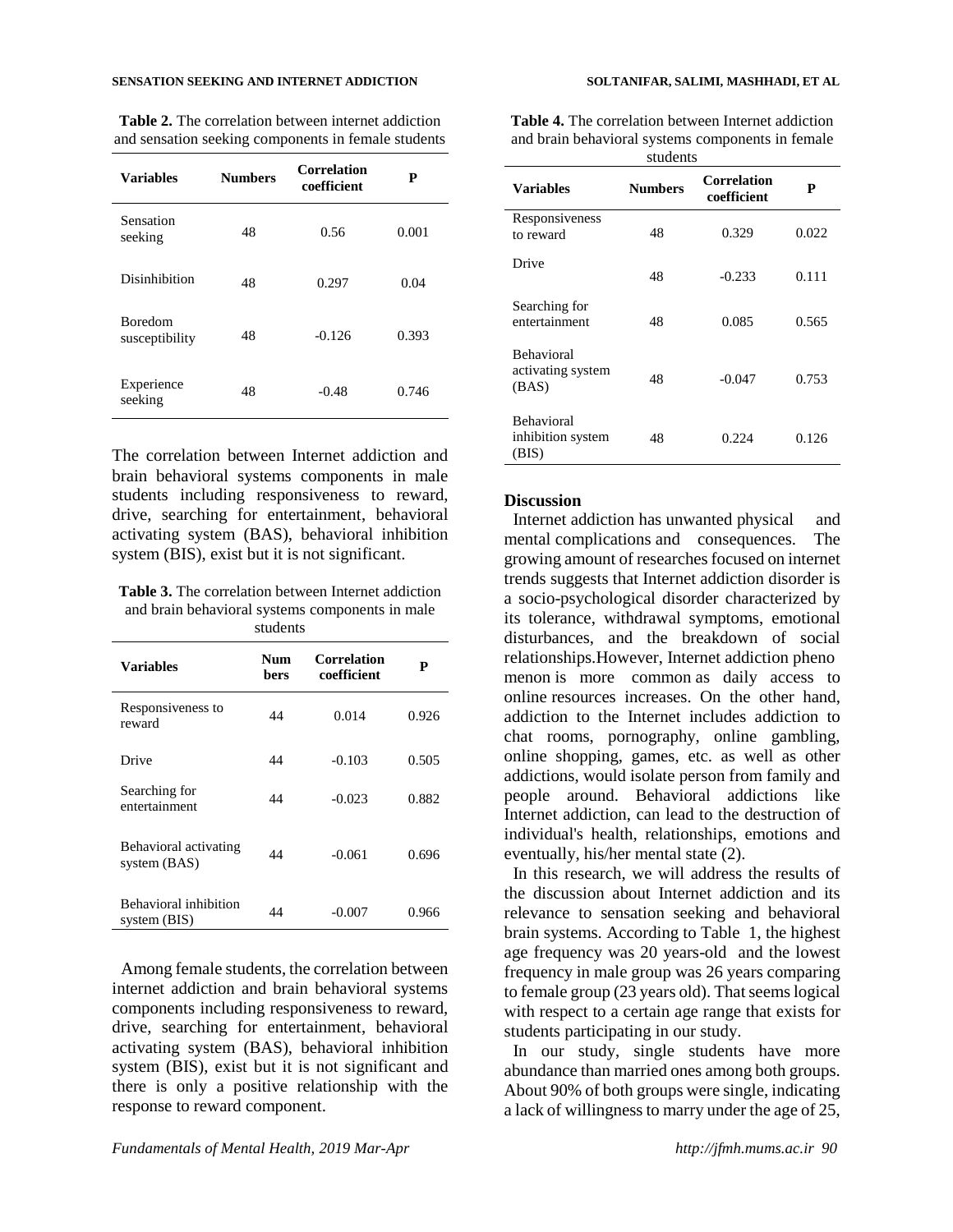#### **SENSATION SEEKING AND INTERNET ADDICTION SOLTANIFAR, SALIMI, MASHHADI, ET AL**

**Table 2.** The correlation between internet addiction and sensation seeking components in female students

| <b>Variables</b>                 | <b>Numbers</b> | <b>Correlation</b><br>coefficient | P     |
|----------------------------------|----------------|-----------------------------------|-------|
| Sensation<br>seeking             | 48             | 0.56                              | 0.001 |
| Disinhibition                    | 48             | 0.297                             | 0.04  |
| <b>Boredom</b><br>susceptibility | 48             | $-0.126$                          | 0.393 |
| Experience<br>seeking            | 48             | $-0.48$                           | 0.746 |

The correlation between Internet addiction and brain behavioral systems components in male students including responsiveness to reward, drive, searching for entertainment, behavioral activating system (BAS), behavioral inhibition system (BIS), exist but it is not significant.

**Table 3.** The correlation between Internet addiction and brain behavioral systems components in male students

| <b>Variables</b>                      | Num<br>bers | Correlation<br>coefficient | P     |
|---------------------------------------|-------------|----------------------------|-------|
| Responsiveness to<br>reward           | 44          | 0.014                      | 0.926 |
| Drive                                 | 44          | $-0.103$                   | 0.505 |
| Searching for<br>entertainment        | 44          | $-0.023$                   | 0.882 |
| Behavioral activating<br>system (BAS) | 44          | $-0.061$                   | 0.696 |
| Behavioral inhibition<br>system (BIS) | 44          | $-0.007$                   | 0.966 |

Among female students, the correlation between internet addiction and brain behavioral systems components including responsiveness to reward, drive, searching for entertainment, behavioral activating system (BAS), behavioral inhibition system (BIS), exist but it is not significant and there is only a positive relationship with the response to reward component.

**Table 4.** The correlation between Internet addiction and brain behavioral systems components in female .<br>Students

| suudents                                        |                |                            |       |  |  |
|-------------------------------------------------|----------------|----------------------------|-------|--|--|
| <b>Variables</b>                                | <b>Numbers</b> | Correlation<br>coefficient | P     |  |  |
| Responsiveness<br>to reward                     | 48             | 0.329                      | 0.022 |  |  |
| Drive                                           | 48             | $-0.233$                   | 0.111 |  |  |
| Searching for<br>entertainment                  | 48             | 0.085                      | 0.565 |  |  |
| <b>Behavioral</b><br>activating system<br>(BAS) | 48             | $-0.047$                   | 0.753 |  |  |
| <b>Behavioral</b><br>inhibition system<br>(BIS) | 48             | 0.224                      | 0.126 |  |  |

#### **Discussion**

Internet addiction has unwanted physical and mental complications and consequences. The growing amount of researches focused on internet trends suggests that Internet addiction disorder is a socio-psychological disorder characterized by its tolerance, withdrawal symptoms, emotional disturbances, and the breakdown of social relationships.However, Internet addiction pheno menon is more common as daily access to online resources increases. On the other hand, addiction to the Internet includes addiction to chat rooms, pornography, online gambling, online shopping, games, etc. as well as other addictions, would isolate person from family and people around. Behavioral addictions like Internet addiction, can lead to the destruction of individual's health, relationships, emotions and eventually, his/her mental state (2).

In this research, we will address the results of the discussion about Internet addiction and its relevance to sensation seeking and behavioral brain systems. According to Table 1, the highest age frequency was 20 years-old and the lowest frequency in male group was 26 years comparing to female group (23 years old). That seems logical with respect to a certain age range that exists for students participating in our study.

In our study, single students have more abundance than married ones among both groups. About 90% of both groups were single, indicating a lack of willingness to marry under the age of 25,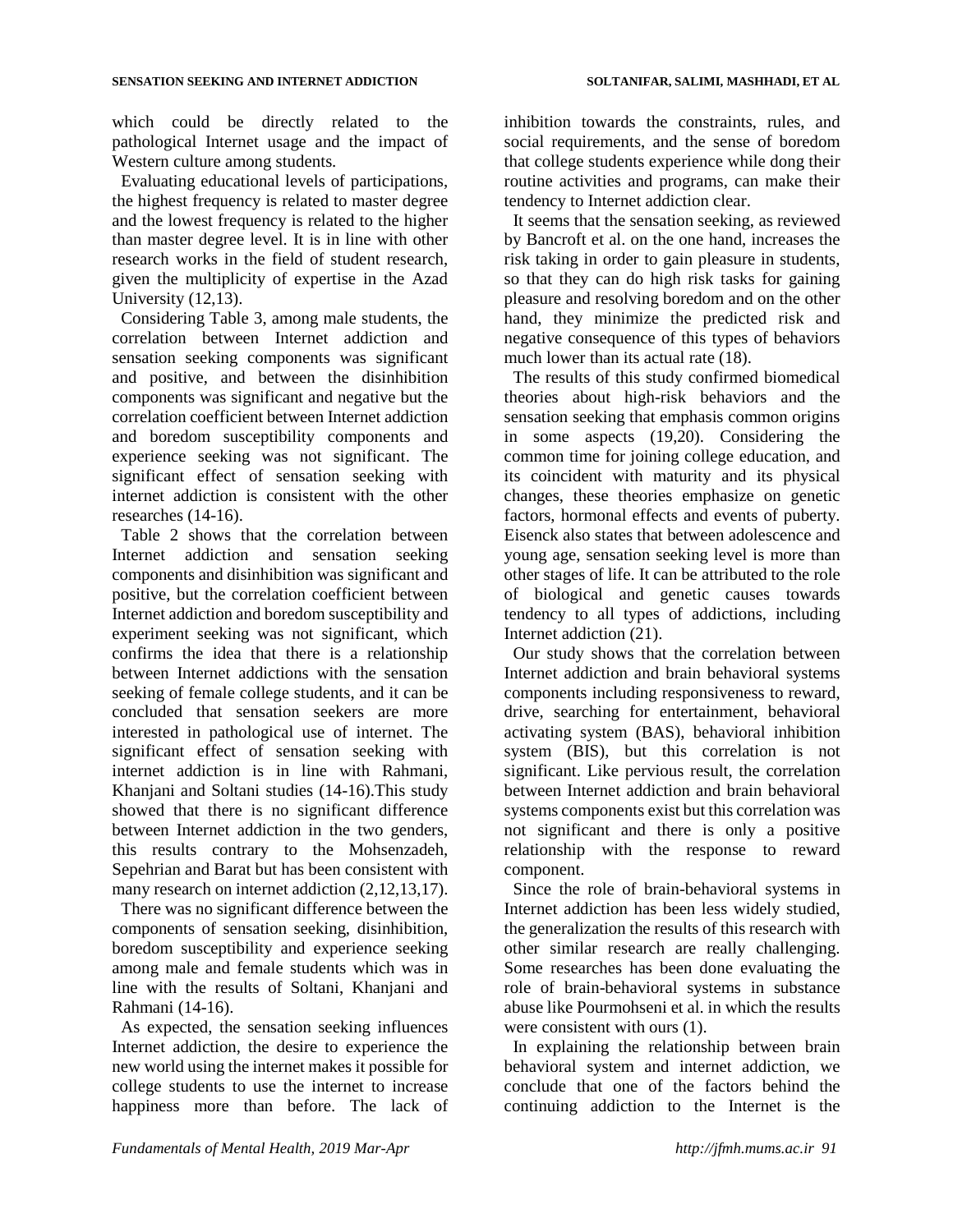which could be directly related to the pathological Internet usage and the impact of Western culture among students.

Evaluating educational levels of participations, the highest frequency is related to master degree and the lowest frequency is related to the higher than master degree level. It is in line with other research works in the field of student research, given the multiplicity of expertise in the Azad University (12,13).

Considering Table 3, among male students, the correlation between Internet addiction and sensation seeking components was significant and positive, and between the disinhibition components was significant and negative but the correlation coefficient between Internet addiction and boredom susceptibility components and experience seeking was not significant. The significant effect of sensation seeking with internet addiction is consistent with the other researches (14-16).

Table 2 shows that the correlation between Internet addiction and sensation seeking components and disinhibition was significant and positive, but the correlation coefficient between Internet addiction and boredom susceptibility and experiment seeking was not significant, which confirms the idea that there is a relationship between Internet addictions with the sensation seeking of female college students, and it can be concluded that sensation seekers are more interested in pathological use of internet. The significant effect of sensation seeking with internet addiction is in line with Rahmani, Khanjani and Soltani studies (14-16).This study showed that there is no significant difference between Internet addiction in the two genders, this results contrary to the Mohsenzadeh, Sepehrian and Barat but has been consistent with many research on internet addiction (2,12,13,17).

There was no significant difference between the components of sensation seeking, disinhibition, boredom susceptibility and experience seeking among male and female students which was in line with the results of Soltani, Khanjani and Rahmani (14-16).

As expected, the sensation seeking influences Internet addiction, the desire to experience the new world using the internet makes it possible for college students to use the internet to increase happiness more than before. The lack of inhibition towards the constraints, rules, and social requirements, and the sense of boredom that college students experience while dong their routine activities and programs, can make their tendency to Internet addiction clear.

It seems that the sensation seeking, as reviewed by Bancroft et al. on the one hand, increases the risk taking in order to gain pleasure in students, so that they can do high risk tasks for gaining pleasure and resolving boredom and on the other hand, they minimize the predicted risk and negative consequence of this types of behaviors much lower than its actual rate  $(18)$ .

The results of this study confirmed biomedical theories about high-risk behaviors and the sensation seeking that emphasis common origins in some aspects (19,20). Considering the common time for joining college education, and its coincident with maturity and its physical changes, these theories emphasize on genetic factors, hormonal effects and events of puberty. Eisenck also states that between adolescence and young age, sensation seeking level is more than other stages of life. It can be attributed to the role of biological and genetic causes towards tendency to all types of addictions, including Internet addiction (21).

Our study shows that the correlation between Internet addiction and brain behavioral systems components including responsiveness to reward, drive, searching for entertainment, behavioral activating system (BAS), behavioral inhibition system (BIS), but this correlation is not significant. Like pervious result, the correlation between Internet addiction and brain behavioral systems components exist but this correlation was not significant and there is only a positive relationship with the response to reward component.

Since the role of brain-behavioral systems in Internet addiction has been less widely studied, the generalization the results of this research with other similar research are really challenging. Some researches has been done evaluating the role of brain-behavioral systems in substance abuse like Pourmohseni et al. in which the results were consistent with ours (1).

In explaining the relationship between brain behavioral system and internet addiction, we conclude that one of the factors behind the continuing addiction to the Internet is the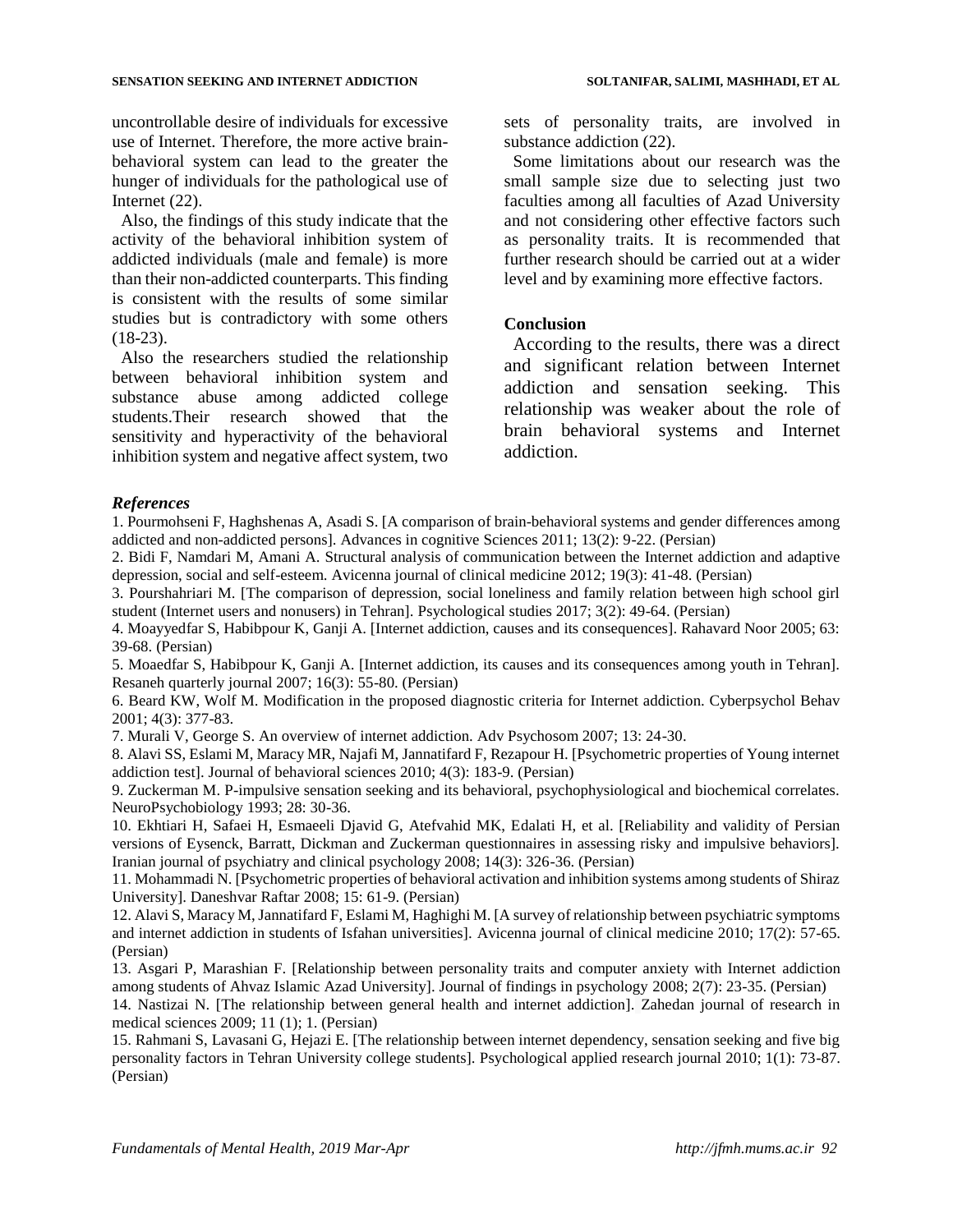#### **SENSATION SEEKING AND INTERNET ADDICTION SOLTANIFAR, SALIMI, MASHHADI, ET AL**

uncontrollable desire of individuals for excessive use of Internet. Therefore, the more active brainbehavioral system can lead to the greater the hunger of individuals for the pathological use of Internet (22).

Also, the findings of this study indicate that the activity of the behavioral inhibition system of addicted individuals (male and female) is more than their non-addicted counterparts. This finding is consistent with the results of some similar studies but is contradictory with some others (18-23).

Also the researchers studied the relationship between behavioral inhibition system and substance abuse among addicted college students.Their research showed that the sensitivity and hyperactivity of the behavioral inhibition system and negative affect system, two

sets of personality traits, are involved in substance addiction (22).

Some limitations about our research was the small sample size due to selecting just two faculties among all faculties of Azad University and not considering other effective factors such as personality traits. It is recommended that further research should be carried out at a wider level and by examining more effective factors.

#### **Conclusion**

According to the results, there was a direct and significant relation between Internet addiction and sensation seeking. This relationship was weaker about the role of brain behavioral systems and Internet addiction.

#### *References*

1. Pourmohseni F, Haghshenas A, Asadi S. [A comparison of brain-behavioral systems and gender differences among addicted and non-addicted persons]. Advances in cognitive Sciences 2011; 13(2): 9-22. (Persian)

2. Bidi F, Namdari M, Amani A. Structural analysis of communication between the Internet addiction and adaptive depression, social and self-esteem. Avicenna journal of clinical medicine 2012; 19(3): 41-48. (Persian)

3. Pourshahriari M. [The comparison of depression, social loneliness and family relation between high school girl student (Internet users and nonusers) in Tehran]. Psychological studies 2017; 3(2): 49-64. (Persian)

4. Moayyedfar S, Habibpour K, Ganji A. [Internet addiction, causes and its consequences]. Rahavard Noor 2005; 63: 39-68. (Persian)

5. Moaedfar S, Habibpour K, Ganji A. [Internet addiction, its causes and its consequences among youth in Tehran]. Resaneh quarterly journal 2007; 16(3): 55-80. (Persian)

6. Beard KW, Wolf M. Modification in the proposed diagnostic criteria for Internet addiction. Cyberpsychol Behav 2001; 4(3): 377-83.

7. Murali V, George S. An overview of internet addiction. Adv Psychosom 2007; 13: 24-30.

8. Alavi SS, Eslami M, Maracy MR, Najafi M, Jannatifard F, Rezapour H. [Psychometric properties of Young internet addiction test]. Journal of behavioral sciences 2010; 4(3): 183-9. (Persian)

9. Zuckerman M. P-impulsive sensation seeking and its behavioral, psychophysiological and biochemical correlates. NeuroPsychobiology 1993; 28: 30-36.

10. Ekhtiari H, Safaei H, Esmaeeli Djavid G, Atefvahid MK, Edalati H, et al. [Reliability and validity of Persian versions of Eysenck, Barratt, Dickman and Zuckerman questionnaires in assessing risky and impulsive behaviors]. Iranian journal of psychiatry and clinical psychology 2008; 14(3): 326-36. (Persian)

11. Mohammadi N. [Psychometric properties of behavioral activation and inhibition systems among students of Shiraz University]. Daneshvar Raftar 2008; 15: 61-9. (Persian)

12. Alavi S, Maracy M, Jannatifard F, Eslami M, Haghighi M. [A survey of relationship between psychiatric symptoms and internet addiction in students of Isfahan universities]. Avicenna journal of clinical medicine 2010; 17(2): 57-65. (Persian)

13. Asgari P, Marashian F. [Relationship between personality traits and computer anxiety with Internet addiction among students of Ahvaz Islamic Azad University]. Journal of findings in psychology 2008; 2(7): 23-35. (Persian)

14. Nastizai N. [\[The relationship between general health and internet addiction\]](http://zjrms.ir/article-1-404-en.pdf). Zahedan journal of research in medical sciences 2009; 11 (1); 1. (Persian)

15. Rahmani S, Lavasani G, Hejazi E. [The relationship between internet dependency, sensation seeking and five big personality factors in Tehran University college students]. Psychological applied research journal 2010; 1(1): 73-87. (Persian)